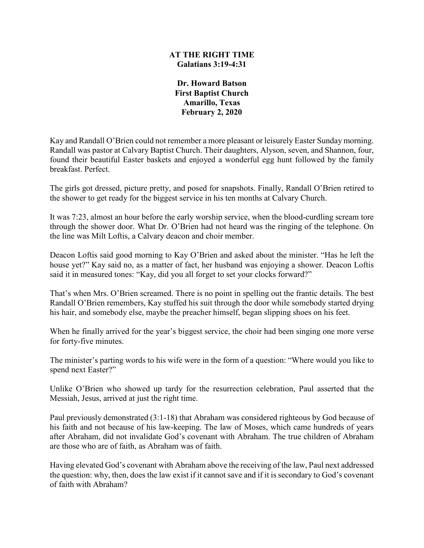### **AT THE RIGHT TIME Galatians 3:19-4:31**

**Dr. Howard Batson First Baptist Church Amarillo, Texas February 2, 2020**

Kay and Randall O'Brien could not remember a more pleasant or leisurely Easter Sunday morning. Randall was pastor at Calvary Baptist Church. Their daughters, Alyson, seven, and Shannon, four, found their beautiful Easter baskets and enjoyed a wonderful egg hunt followed by the family breakfast. Perfect.

The girls got dressed, picture pretty, and posed for snapshots. Finally, Randall O'Brien retired to the shower to get ready for the biggest service in his ten months at Calvary Church.

It was 7:23, almost an hour before the early worship service, when the blood-curdling scream tore through the shower door. What Dr. O'Brien had not heard was the ringing of the telephone. On the line was Milt Loftis, a Calvary deacon and choir member.

Deacon Loftis said good morning to Kay O'Brien and asked about the minister. "Has he left the house yet?" Kay said no, as a matter of fact, her husband was enjoying a shower. Deacon Loftis said it in measured tones: "Kay, did you all forget to set your clocks forward?"

That's when Mrs. O'Brien screamed. There is no point in spelling out the frantic details. The best Randall O'Brien remembers, Kay stuffed his suit through the door while somebody started drying his hair, and somebody else, maybe the preacher himself, began slipping shoes on his feet.

When he finally arrived for the year's biggest service, the choir had been singing one more verse for forty-five minutes.

The minister's parting words to his wife were in the form of a question: "Where would you like to spend next Easter?"

Unlike O'Brien who showed up tardy for the resurrection celebration, Paul asserted that the Messiah, Jesus, arrived at just the right time.

Paul previously demonstrated (3:1-18) that Abraham was considered righteous by God because of his faith and not because of his law-keeping. The law of Moses, which came hundreds of years after Abraham, did not invalidate God's covenant with Abraham. The true children of Abraham are those who are of faith, as Abraham was of faith.

Having elevated God's covenant with Abraham above the receiving of the law, Paul next addressed the question: why, then, does the law exist if it cannot save and if it is secondary to God's covenant of faith with Abraham?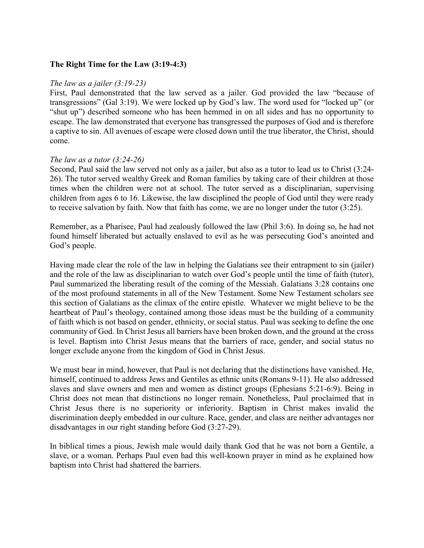### **The Right Time for the Law (3:19-4:3)**

#### *The law as a jailer (3:19-23)*

First, Paul demonstrated that the law served as a jailer. God provided the law "because of transgressions" (Gal 3:19). We were locked up by God's law. The word used for "locked up" (or "shut up") described someone who has been hemmed in on all sides and has no opportunity to escape. The law demonstrated that everyone has transgressed the purposes of God and is therefore a captive to sin. All avenues of escape were closed down until the true liberator, the Christ, should come.

### *The law as a tutor (3:24-26)*

Second, Paul said the law served not only as a jailer, but also as a tutor to lead us to Christ (3:24- 26). The tutor served wealthy Greek and Roman families by taking care of their children at those times when the children were not at school. The tutor served as a disciplinarian, supervising children from ages 6 to 16. Likewise, the law disciplined the people of God until they were ready to receive salvation by faith. Now that faith has come, we are no longer under the tutor (3:25).

Remember, as a Pharisee, Paul had zealously followed the law (Phil 3:6). In doing so, he had not found himself liberated but actually enslaved to evil as he was persecuting God's anointed and God's people.

Having made clear the role of the law in helping the Galatians see their entrapment to sin (jailer) and the role of the law as disciplinarian to watch over God's people until the time of faith (tutor), Paul summarized the liberating result of the coming of the Messiah. Galatians 3:28 contains one of the most profound statements in all of the New Testament. Some New Testament scholars see this section of Galatians as the climax of the entire epistle. Whatever we might believe to be the heartbeat of Paul's theology, contained among those ideas must be the building of a community of faith which is not based on gender, ethnicity, or social status. Paul was seeking to define the one community of God. In Christ Jesus all barriers have been broken down, and the ground at the cross is level. Baptism into Christ Jesus means that the barriers of race, gender, and social status no longer exclude anyone from the kingdom of God in Christ Jesus.

We must bear in mind, however, that Paul is not declaring that the distinctions have vanished. He, himself, continued to address Jews and Gentiles as ethnic units (Romans 9-11). He also addressed slaves and slave owners and men and women as distinct groups (Ephesians 5:21-6:9). Being in Christ does not mean that distinctions no longer remain. Nonetheless, Paul proclaimed that in Christ Jesus there is no superiority or inferiority. Baptism in Christ makes invalid the discrimination deeply embedded in our culture. Race, gender, and class are neither advantages nor disadvantages in our right standing before God (3:27-29).

In biblical times a pious, Jewish male would daily thank God that he was not born a Gentile, a slave, or a woman. Perhaps Paul even had this well-known prayer in mind as he explained how baptism into Christ had shattered the barriers.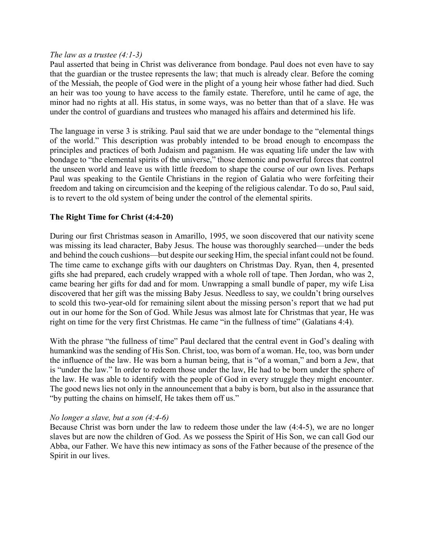#### *The law as a trustee (4:1-3)*

Paul asserted that being in Christ was deliverance from bondage. Paul does not even have to say that the guardian or the trustee represents the law; that much is already clear. Before the coming of the Messiah, the people of God were in the plight of a young heir whose father had died. Such an heir was too young to have access to the family estate. Therefore, until he came of age, the minor had no rights at all. His status, in some ways, was no better than that of a slave. He was under the control of guardians and trustees who managed his affairs and determined his life.

The language in verse 3 is striking. Paul said that we are under bondage to the "elemental things of the world." This description was probably intended to be broad enough to encompass the principles and practices of both Judaism and paganism. He was equating life under the law with bondage to "the elemental spirits of the universe," those demonic and powerful forces that control the unseen world and leave us with little freedom to shape the course of our own lives. Perhaps Paul was speaking to the Gentile Christians in the region of Galatia who were forfeiting their freedom and taking on circumcision and the keeping of the religious calendar. To do so, Paul said, is to revert to the old system of being under the control of the elemental spirits.

## **The Right Time for Christ (4:4-20)**

During our first Christmas season in Amarillo, 1995, we soon discovered that our nativity scene was missing its lead character, Baby Jesus. The house was thoroughly searched—under the beds and behind the couch cushions—but despite our seeking Him, the special infant could not be found. The time came to exchange gifts with our daughters on Christmas Day. Ryan, then 4, presented gifts she had prepared, each crudely wrapped with a whole roll of tape. Then Jordan, who was 2, came bearing her gifts for dad and for mom. Unwrapping a small bundle of paper, my wife Lisa discovered that her gift was the missing Baby Jesus. Needless to say, we couldn't bring ourselves to scold this two-year-old for remaining silent about the missing person's report that we had put out in our home for the Son of God. While Jesus was almost late for Christmas that year, He was right on time for the very first Christmas. He came "in the fullness of time" (Galatians 4:4).

With the phrase "the fullness of time" Paul declared that the central event in God's dealing with humankind was the sending of His Son. Christ, too, was born of a woman. He, too, was born under the influence of the law. He was born a human being, that is "of a woman," and born a Jew, that is "under the law." In order to redeem those under the law, He had to be born under the sphere of the law. He was able to identify with the people of God in every struggle they might encounter. The good news lies not only in the announcement that a baby is born, but also in the assurance that "by putting the chains on himself, He takes them off us."

### *No longer a slave, but a son (4:4-6)*

Because Christ was born under the law to redeem those under the law (4:4-5), we are no longer slaves but are now the children of God. As we possess the Spirit of His Son, we can call God our Abba, our Father. We have this new intimacy as sons of the Father because of the presence of the Spirit in our lives.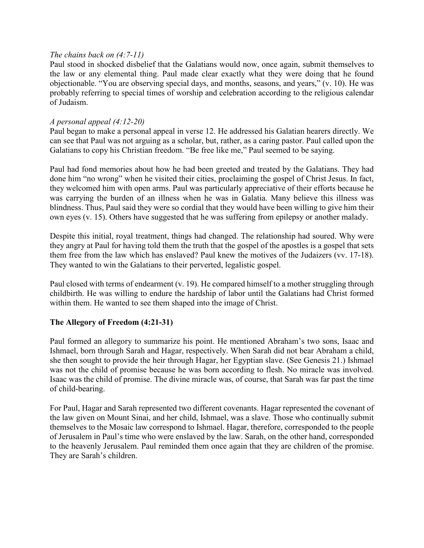## *The chains back on (4:7-11)*

Paul stood in shocked disbelief that the Galatians would now, once again, submit themselves to the law or any elemental thing. Paul made clear exactly what they were doing that he found objectionable. "You are observing special days, and months, seasons, and years," (v. 10). He was probably referring to special times of worship and celebration according to the religious calendar of Judaism.

### *A personal appeal (4:12-20)*

Paul began to make a personal appeal in verse 12. He addressed his Galatian hearers directly. We can see that Paul was not arguing as a scholar, but, rather, as a caring pastor. Paul called upon the Galatians to copy his Christian freedom. "Be free like me," Paul seemed to be saying.

Paul had fond memories about how he had been greeted and treated by the Galatians. They had done him "no wrong" when he visited their cities, proclaiming the gospel of Christ Jesus. In fact, they welcomed him with open arms. Paul was particularly appreciative of their efforts because he was carrying the burden of an illness when he was in Galatia. Many believe this illness was blindness. Thus, Paul said they were so cordial that they would have been willing to give him their own eyes (v. 15). Others have suggested that he was suffering from epilepsy or another malady.

Despite this initial, royal treatment, things had changed. The relationship had soured. Why were they angry at Paul for having told them the truth that the gospel of the apostles is a gospel that sets them free from the law which has enslaved? Paul knew the motives of the Judaizers (vv. 17-18). They wanted to win the Galatians to their perverted, legalistic gospel.

Paul closed with terms of endearment (v. 19). He compared himself to a mother struggling through childbirth. He was willing to endure the hardship of labor until the Galatians had Christ formed within them. He wanted to see them shaped into the image of Christ.

# **The Allegory of Freedom (4:21-31)**

Paul formed an allegory to summarize his point. He mentioned Abraham's two sons, Isaac and Ishmael, born through Sarah and Hagar, respectively. When Sarah did not bear Abraham a child, she then sought to provide the heir through Hagar, her Egyptian slave. (See Genesis 21.) Ishmael was not the child of promise because he was born according to flesh. No miracle was involved. Isaac was the child of promise. The divine miracle was, of course, that Sarah was far past the time of child-bearing.

For Paul, Hagar and Sarah represented two different covenants. Hagar represented the covenant of the law given on Mount Sinai, and her child, Ishmael, was a slave. Those who continually submit themselves to the Mosaic law correspond to Ishmael. Hagar, therefore, corresponded to the people of Jerusalem in Paul's time who were enslaved by the law. Sarah, on the other hand, corresponded to the heavenly Jerusalem. Paul reminded them once again that they are children of the promise. They are Sarah's children.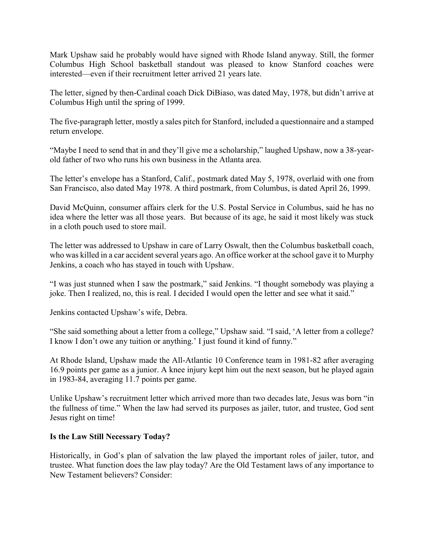Mark Upshaw said he probably would have signed with Rhode Island anyway. Still, the former Columbus High School basketball standout was pleased to know Stanford coaches were interested—even if their recruitment letter arrived 21 years late.

The letter, signed by then-Cardinal coach Dick DiBiaso, was dated May, 1978, but didn't arrive at Columbus High until the spring of 1999.

The five-paragraph letter, mostly a sales pitch for Stanford, included a questionnaire and a stamped return envelope.

"Maybe I need to send that in and they'll give me a scholarship," laughed Upshaw, now a 38-yearold father of two who runs his own business in the Atlanta area.

The letter's envelope has a Stanford, Calif., postmark dated May 5, 1978, overlaid with one from San Francisco, also dated May 1978. A third postmark, from Columbus, is dated April 26, 1999.

David McQuinn, consumer affairs clerk for the U.S. Postal Service in Columbus, said he has no idea where the letter was all those years. But because of its age, he said it most likely was stuck in a cloth pouch used to store mail.

The letter was addressed to Upshaw in care of Larry Oswalt, then the Columbus basketball coach, who was killed in a car accident several years ago. An office worker at the school gave it to Murphy Jenkins, a coach who has stayed in touch with Upshaw.

"I was just stunned when I saw the postmark," said Jenkins. "I thought somebody was playing a joke. Then I realized, no, this is real. I decided I would open the letter and see what it said."

Jenkins contacted Upshaw's wife, Debra.

"She said something about a letter from a college," Upshaw said. "I said, 'A letter from a college? I know I don't owe any tuition or anything.' I just found it kind of funny."

At Rhode Island, Upshaw made the All-Atlantic 10 Conference team in 1981-82 after averaging 16.9 points per game as a junior. A knee injury kept him out the next season, but he played again in 1983-84, averaging 11.7 points per game.

Unlike Upshaw's recruitment letter which arrived more than two decades late, Jesus was born "in the fullness of time." When the law had served its purposes as jailer, tutor, and trustee, God sent Jesus right on time!

# **Is the Law Still Necessary Today?**

Historically, in God's plan of salvation the law played the important roles of jailer, tutor, and trustee. What function does the law play today? Are the Old Testament laws of any importance to New Testament believers? Consider: